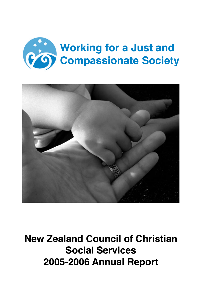



**New Zealand Council of Christian Social Services 2005-2006 Annual Report**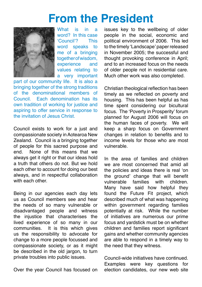### **From the President**



What is in a word? In this case<br>'Council'? This 'Council'? word speaks to me of a bringing together of wisdom, experience and values relating to a very important

part of our community life. It is also a bringing together of the strong traditions of the denominational members of Council. Each denomination has its own tradition of working for justice and aspiring to offer service in response to the invitation of Jesus Christ.

Council exists to work for a just and compassionate society in Aotearoa New Zealand. Council is a bringing together of people for this sacred purpose and end. None of this means that we always get it right or that our ideas hold a truth that others do not. But we hold each other to account for doing our best always, and in respectful collaboration with each other

Being in our agencies each day lets us as Council members see and hear the needs of so many vulnerable or disadvantaged people and witness the injustice that characterises the lived experience of so many in our communities. It is this which gives us the responsibility to advocate for change to a more people focussed and compassionate society, or as it might be described in the old jargon, to turn private troubles into public issues.

Over the year Council has focused on

issues key to the wellbeing of older people in the social, economic and political environment of 2006. This led to the timely 'Landscape' paper released in November 2005; the successful and thought provoking conference in April; and to an increased focus on the needs of older people not in residential care. Much other work was also completed.

Christian theological reflection has been timely as we reflected on poverty and housing. This has been helpful as has time spent considering our bicultural focus. The 'Poverty in Prosperity' forum planned for August 2006 will focus on the human faces of poverty. We will keep a sharp focus on Government changes in relation to benefits and to income levels for those who are most vulnerable.

In the area of families and children we are most concerned that amid all the policies and ideas there is real 'on the ground' change that will benefit<br>vulnerable families with children vulnerable families with children. Many have said how helpful they found the Future Fit project, which described much of what was happening within government regarding families potentially at risk. While the number of initiatives are numerous our prime focus and yardstick must be on whether children and families report significant gains and whether community agencies are able to respond in a timely way to the need that they witness.

Council-wide initiatives have continued. Examples were key questions for election candidates, our new web site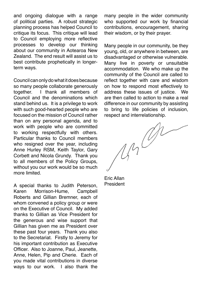and ongoing dialogue with a range of political parties. A robust strategic planning process has helped Council to critique its focus. This critique will lead to Council employing more reflective processes to develop our thinking about our community in Aotearoa New Zealand. The end result will assist us to best contribute prophetically in longerterm ways.

Council can only do what it does because so many people collaborate generously<br>together. <br>I thank all members of I thank all members of Council and the denominations which stand behind us. It is a privilege to work with such good-hearted people who are focused on the mission of Council rather than on any personal agenda, and to work with people who are committed to working respectfully with others. Particular thanks to Council members who resigned over the year, including Anne Hurley RSM, Keith Taylor, Gary Corbett and Nicola Grundy. Thank you to all members of the Policy Groups, without you our work would be so much more limited.

A special thanks to Judith Peterson, Karen Morrison-Hume, Campbell Roberts and Gillian Bremner, each of whom convened a policy group or were on the Executive of Council. My added thanks to Gillian as Vice President for the generous and wise support that Gillian has given me as President over these past four years. Thank you also to the Secretariat. Firstly to Jeremy for his important contribution as Executive Officer. Also to Joanne, Paul, Jeanette, Anne, Helen, Pip and Cherie. Each of you made vital contributions in diverse ways to our work. I also thank the

many people in the wider community who supported our work by financial contributions, encouragement, sharing their wisdom, or by their prayer.

Many people in our community, be they young, old, or anywhere in between, are disadvantaged or otherwise vulnerable. Many live in poverty or unsuitable accommodation. We who make up the community of the Council are called to reflect together with care and wisdom on how to respond most effectively to address these issues of justice. We are then called to action to make a real difference in our community by assisting to bring to life policies of inclusion, respect and interrelationship.

 $440$ 

Eric Allan President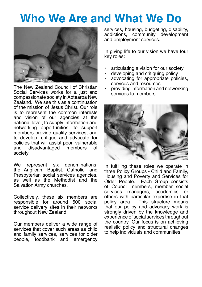### **Who We Are and What We Do**



The New Zealand Council of Christian Social Services works for a just and compassionate society in Aotearoa New Zealand. We see this as a continuation of the mission of Jesus Christ. Our role is to represent the common interests and vision of our agencies at the national level; to supply information and networking opportunities; to support members provide quality services; and to develop, critique and advocate for policies that will assist poor, vulnerable disadvantaged members society.

We represent six denominations: the Anglican, Baptist, Catholic, and Presbyterian social services agencies, as well as the Methodist and the Salvation Army churches.

Collectively, these six members are responsible for around 500 social service delivery sites in their networks throughout New Zealand.

Our members deliver a wide range of services that cover such areas as child and family services, services for older people, foodbank and emergency services, housing, budgeting, disability, addictions, community development and employment services.

In giving life to our vision we have four key roles:

- articulating a vision for our society
- developing and critiquing policy
- advocating for appropriate policies, services and resources
- providing information and networking services to members



In fulfilling these roles we operate in three Policy Groups - Child and Family, Housing and Poverty and Services for Older People. Each Group consists of Council members, member social services managers, others with particular expertise in that policy area. This structure means that our policy and advocacy work is strongly driven by the knowledge and experience of social services throughout the country. Our focus is on achieving realistic policy and structural changes to help individuals and communities.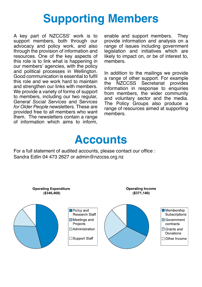### **Supporting Members**

A key part of NZCCSS' work is to support members, both through our advocacy and policy work, and also through the provision of information and resources. One of the key aspects of this role is to link what is happening in our members' agencies, with the policy and political processes in Wellington. Good communication is essential to fulfil this role and we work hard to maintain and strengthen our links with members. We provide a variety of forms of support to members, including our two regular, *General Social Services* and S*ervices for Older People* newsletters. These are provided free to all members who want them. The newsletters contain a range of information which aims to inform,

enable and support members. They provide information and analysis on a range of issues including government legislation and initiatives which are likely to impact on, or be of interest to, members.

In addition to the mailings we provide a range of other support. For example NZCCSS Secretariat provides information in response to enquiries from members, the wider community and voluntary sector and the media. The Policy Groups also produce a range of resources aimed at supporting members.

### **Accounts**

For a full statement of audited accounts, please contact our office : Sandra Edlin 04 473 2627 or admin@nzccss.org.nz

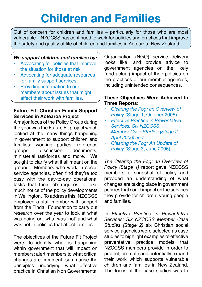# **Children and Families**

Out of concern for children and families – particularly for those who are most vulnerable – NZCCSS has continued to work for policies and practices that improve the safety and quality of life of children and families in Aotearoa, New Zealand.

#### *We support children and families by:*

- Advocating for policies that improve the situation for those at risk
- Advocating for adequate resources for family support services
- Providing information to our members about issues that might affect their work with families.

### **Future Fit: Christian Family Support Services in Aotearoa Project**

A major focus of the Policy Group during the year was the Future Fit project which looked at the many things happening in government to support children and families; working parties, reference<br>groups discussion documents groups, discussion documents, ministerial taskforces and more. We sought to clarify what it all meant on the ground. Members who work in social service agencies, often find they're too busy with the day-to-day operational tasks that their job requires to take much notice of the policy developments in Wellington. To address this, NZCCSS employed a staff member with support from the Tindall Foundation to carry out research over the year to look at what was going on, what was 'hot' and what was not in policies that affect families.

The objectives of the Future Fit Project were: to identify what is happening within government that will impact on members; alert members to what critical changes are imminent; summarise the principles underlying what effective practice in Christian Non Governmental Organisation (NGO) service delivery looks like; and provide advice to government agencies on the likely (and actual) impact of their policies on the practices of our member agencies, including unintended consequences.

#### **These Objectives Were Achieved In Three Reports:**

- *Clearing the Fog: an Overview of Policy* (Stage 1, October 2005)
- *Effective Practice in Preventative Services: Six NZCCSS Member Case Studies (Stage 2, April 2006) and*
- *Clearing the Fog: An Update of Policy* (Stage 3, June 2006)

*The Clearing the Fog: an Overview of Policy (Stage 1)* report gave NZCCSS members a snapshot of policy and provided an understanding of what changes are taking place in government policies that could impact on the services they provide for children, young people and families.

In *Effective Practice in Preventative Services: Six NZCCSS Member Case Studies (Stage 2)* six Christian social service agencies were selected as case studies to highlight examples of effective<br>preventative practice models that preventative practice models that NZCCSS members provide in order to protect, promote and potentially expand their work which supports vulnerable children and families in New Zealand. The focus of the case studies was to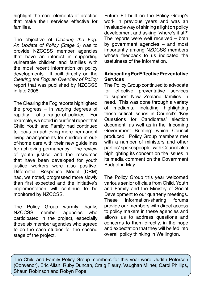highlight the core elements of practice that make their services effective for families.

The objective of *Clearing the Fog: An Update of Policy (Stage 3)* was to provide NZCCSS member agencies that have an interest in supporting vulnerable children and families with the most recent information on policy developments. It built directly on the *Clearing the Fog: an Overview of Policy* report that was published by NZCCSS in late 2005.

The Clearing the Fog reports highlighted the progress – in varying degrees of rapidity – of a range of policies. For example, we noted in our final report that Child Youth and Family had continued to focus on achieving more permanent living arrangements for children in outof-home care with their new guidelines for achieving permanency. The review of youth justice and the resources that have been developed for youth justice workers were also positive. Differential Response Model (DRM) had, we noted, progressed more slowly than first expected and the initiative's implementation will continue to be monitored by NZCCSS.

The Policy Group warmly thanks NZCCSS member agencies who participated in the project, especially those six member agencies who agreed to be the case studies for the second stage of the project.

Future Fit built on the Policy Group's work in previous years and was an invaluable way of shining a light on policy development and asking 'where's it at?' The reports were well received – both by government agencies – and most importantly among NZCCSS members whose feedback to us indicated the usefulness of the information.

### **Advocating For Effective Preventative Services**

The Policy Group continued to advocate for effective preventative services to support New Zealand families in need. This was done through a variety of mediums, including highlighting these critical issues in Council's 'Key Questions for Candidates' election document, as well as in the 'Incoming Government Briefing' which Council produced. Policy Group members met with a number of ministers and other parties' spokespeople, with Council also highlighting its concern on the issues in its media comment on the Government Budget in May.

The Policy Group this year welcomed various senior officials from Child, Youth and Family and the Ministry of Social Development to our quarterly meetings.<br>These information-sharing forums These information-sharing provide our members with direct access to policy makers in these agencies and allows us to address questions and concerns to them directly, in the hope and expectation that they will be fed into overall policy thinking in Wellington.

The Child and Family Policy Group members for this year were: Judith Petersen (Convenor), Eric Allan, Ruby Duncan, Craig Fleury, Vaughan Milner, Carol Phillips, Shaun Robinson and Robyn Pope.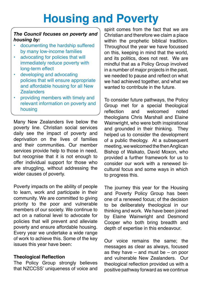### **Housing and Poverty**

### *The Council focuses on poverty and housing by:*

- documenting the hardship suffered by many low-income families
- advocating for policies that will immediately reduce poverty with long-term effect
- developing and advocating policies that will ensure appropriate and affordable housing for all New Zealanders
- providing members with timely and relevant information on poverty and housing

Many New Zealanders live below the poverty line. Christian social services daily see the impact of poverty and deprivation on the lives of families and their communities. Our member services provide help to those in need, but recognise that it is not enough to offer individual support for those who are struggling, without addressing the wider causes of poverty.

Poverty impacts on the ability of people to learn, work and participate in their community. We are committed to giving priority to the poor and vulnerable members of our society. We continue to act on a national level to advocate for policies that will prevent and alleviate poverty and ensure affordable housing. Every year we undertake a wide range of work to achieve this. Some of the key issues this year have been:

### **Theological Reflection**

The Policy Group strongly believes that NZCCSS' uniqueness of voice and spirit comes from the fact that we are Christian and therefore we claim a place within the prophetic biblical tradition. Throughout the year we have focussed on this, keeping in mind that the world, and its politics, does not rest. We are mindful that as a Policy Group involved in a number of major projects in the past, we needed to pause and reflect on what we had achieved together, and what we wanted to contribute in the future.

To consider future pathways, the Policy Group met for a special theological<br>reflection and welcomed noted and welcomed theologians Chris Marshall and Elaine Wainwright, who were both inspirational and grounded in their thinking. They helped us to consider the development of a public theology. At a subsequent meeting, we welcomed the then Anglican Bishop of Waikato, David Moxon, who provided a further framework for us to consider our work with a renewed bicultural focus and some ways in which to progress this.

The journey this year for the Housing and Poverty Policy Group has been one of a renewed focus; of the decision to be deliberately theological in our thinking and work. We have been joined by Elaine Wainwright and Desmond Cooper who both bring breadth and depth of expertise in this endeavour.

Our voice remains the same; the messages as clear as always, focused as they have – and must be – on poor and vulnerable New Zealanders. Our theological reflection provided us with a positive pathway forward as we continue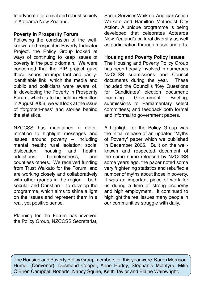to advocate for a civil and robust society in Aotearoa New Zealand.

### **Poverty in Prosperity Forum**

Following the conclusion of the wellknown and respected Poverty Indicator Project, the Policy Group looked at ways of continuing to keep issues of poverty in the public domain. We were concerned that the PIP project gave these issues an important and easilyidentifiable link, which the media and public and politicians were aware of. In developing the Poverty in Prosperity Forum, which is to be held in Hamilton in August 2006, we will look at the issue of 'forgotten-ness' and stories behind the statistics.

NZCCSS has maintained a determination to highlight messages and issues around poverty – including mental health; rural isolation; social dislocation; housing and health; addictions; homelessness; and countless others. We received funding from Trust Waikato for the Forum, and are working closely and collaboratively with other groups in the region – both secular and Christian – to develop the programme, which aims to shine a light on the issues and represent them in a real, yet positive sense.

Planning for the Forum has involved the Policy Group, NZCCSS Secretariat, Social Services Waikato, Anglican Action Waikato and Hamilton Methodist City Action. A unique programme is being developed that celebrates Aotearoa New Zealand's cultural diversity as well as participation through music and arts.

#### **Housing and Poverty Policy Issues**

The Housing and Poverty Policy Group has been heavily involved in numerous NZCCSS submissions and Council documents during the year. These included the Council's 'Key Questions for Candidates' election document; Incoming Government Briefing; submissions to Parliamentary select committees; and feedback both formal and informal to government papers.

A highlight for the Policy Group was the initial release of an updated 'Myths of Poverty' paper which we published in December 2005. Built on the wellknown and respected document of the same name released by NZCCSS some years ago, the paper noted some very frightening statistics and rebuffed a number of myths about those in poverty. It was an important piece of work for us during a time of strong economy and high employment. It continued to highlight the real issues many people in our communities struggle with daily.

The Housing and Poverty Policy Group members for this year were: Karen Morrison-Hume, (Convenor), Desmond Cooper, Anne Hurley, Stephanie McIntyre, Mike O'Brien Campbell Roberts, Nancy Squire, Keith Taylor and Elaine Wainwright.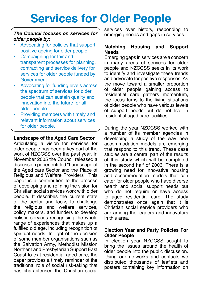### **Services for Older People**

### *The Council focuses on services for older people by:*

- Advocating for policies that support positive ageing for older people.
- Campaigning for fair and transparent processes for planning, contracting and service delivery for services for older people funded by Government.
- Advocating for funding levels across the spectrum of services for older people that can sustain quality and innovation into the future for all older people.
- Providing members with timely and relevant information about services for older people.

#### **Landscape of the Aged Care Sector**

Articulating a vision for services for older people has been a key part of the work of NZCCSS over the past year. In November 2005 the Council released a discussion paper entitled "Landscape of the Aged care Sector and the Place of Religious and Welfare Providers". This paper is a contribution to the process of developing and refining the vision for Christian social services work with older people. It describes the current state of the sector and looks to challenge the religious and welfare services, policy makers, and funders to develop holistic services recognising the whole range of experiences that makes up a fulfilled old age, including recognition of spiritual needs. In light of the decision of some member organisations such as the Salvation Army, Methodist Mission Northern and Presbyterian Support East Coast to exit residential aged care, the paper provides a timely reminder of the traditional role of social risk-taking that has characterised the Christian social services over history, responding to emerging needs and gaps in services.

#### **Matching Housing and Support Needs**

Emerging gaps in services are a concern in many areas of services for older people and NZCCSS seeks in its work to identify and investigate these trends and advocate for positive responses. As the move toward a smaller proportion of older people gaining access to residential care gathers momentum, the focus turns to the living situations of older people who have various levels of support needs but do not live in residential aged care facilities.

During the year NZCCSS worked with a number of its member agencies in developing a study of the way new accommodation models are emerging that respond to this trend. These case studies are a central part of the results of this study which will be completed in the second half of 2006. There is a growing need for innovative housing and accommodation models that can cater for older people who have diverse health and social support needs but who do not require or have access to aged residential care. The study demonstrates once again that it is Christian social service providers who are among the leaders and innovators in this area.

#### **Election Year and Party Policies For Older People**

In election year NZCCSS sought to bring the issues around the health of older people into the public discussion. Using our networks and contacts we distributed thousands of leaflets and posters containing key information on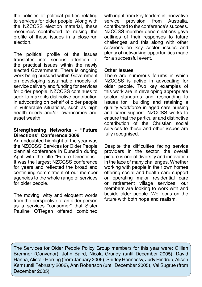the policies of political parties relating to services for older people. Along with the NZCCSS election material, these resources contributed to raising the profile of these issues in a close-run election.

The political profile of the issues translates into serious attention to the practical issues within the newly elected Government. There is ongoing work being pursued within Government on developing sustainable models of service delivery and funding for services for older people. NZCCSS continues to seek to make its distinctive contribution in advocating on behalf of older people in vulnerable situations, such as high health needs and/or low-incomes and asset wealth.

#### **Strengthening Networks - "Future Directions" Conference 2006**

An undoubted highlight of the year was the NZCCSS' Services for Older People biennial conference in Dunedin during April with the title "Future Directions". It was the largest NZCCSS conference for years and reflected the broad and continuing commitment of our member agencies to the whole range of services for older people.

The moving, witty and eloquent words from the perspective of an older person as a services "consumer" that Sister Pauline O'Regan offered combined with input from key leaders in innovative<br>service provision from Australia service provision from Australia, contributed to the conference's success. NZCCSS member denominations gave outlines of their responses to future challenges and this along with other sessions on key sector issues and plenty of networking opportunities made for a successful event.

#### **Other Issues**

There are numerous forums in which NZCCSS is active in advocating for older people. Two key examples of this work are in developing appropriate sector standards and responding to issues for building and retaining a quality workforce in aged care nursing and carer support. NZCCSS works to ensure that the particular and distinctive contribution of the Christian social services to these and other issues are fully recognised.

Despite the difficulties facing service providers in the sector, the overall picture is one of diversity and innovation in the face of many challenges. Whether working with people in their own homes offering social and health care support or operating major residential care or retirement village services, our members are looking to work with and beside older people. We focus on the future with both hope and realism.

The Services for Older People Policy Group members for this year were: Gillian Bremner (Convenor), John Baird, Nicola Grundy (until December 2005), David Hanna, Alistair Herring (from January 2006), Shirley Hennessy, Judy Hindrup, Alison Kerr (until February 2006), Ann Robertson (until December 2005), Val Sugrue (from December 2005)